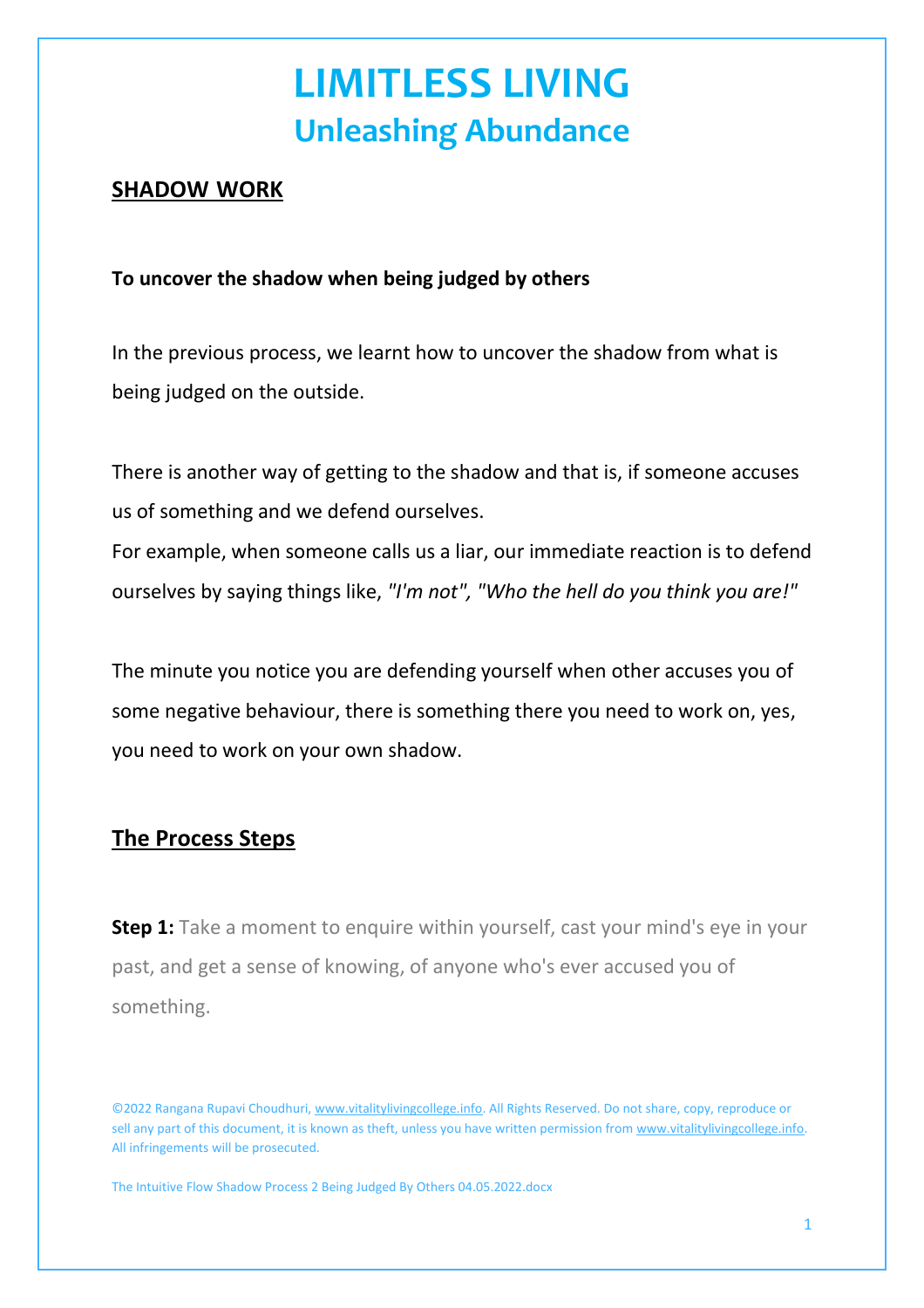## **LIMITLESS LIVING Unleashing Abundance**

#### **SHADOW WORK**

#### **To uncover the shadow when being judged by others**

In the previous process, we learnt how to uncover the shadow from what is being judged on the outside.

There is another way of getting to the shadow and that is, if someone accuses us of something and we defend ourselves.

For example, when someone calls us a liar, our immediate reaction is to defend ourselves by saying things like, *"I'm not", "Who the hell do you think you are!"*

The minute you notice you are defending yourself when other accuses you of some negative behaviour, there is something there you need to work on, yes, you need to work on your own shadow.

### **The Process Steps**

**Step 1:** Take a moment to enquire within yourself, cast your mind's eye in your past, and get a sense of knowing, of anyone who's ever accused you of something.

The Intuitive Flow Shadow Process 2 Being Judged By Others 04.05.2022.docx

<sup>©2022</sup> Rangana Rupavi Choudhuri, [www.vitalitylivingcollege.info.](about:blank) All Rights Reserved. Do not share, copy, reproduce or sell any part of this document, it is known as theft, unless you have written permission from [www.vitalitylivingcollege.info.](about:blank) All infringements will be prosecuted.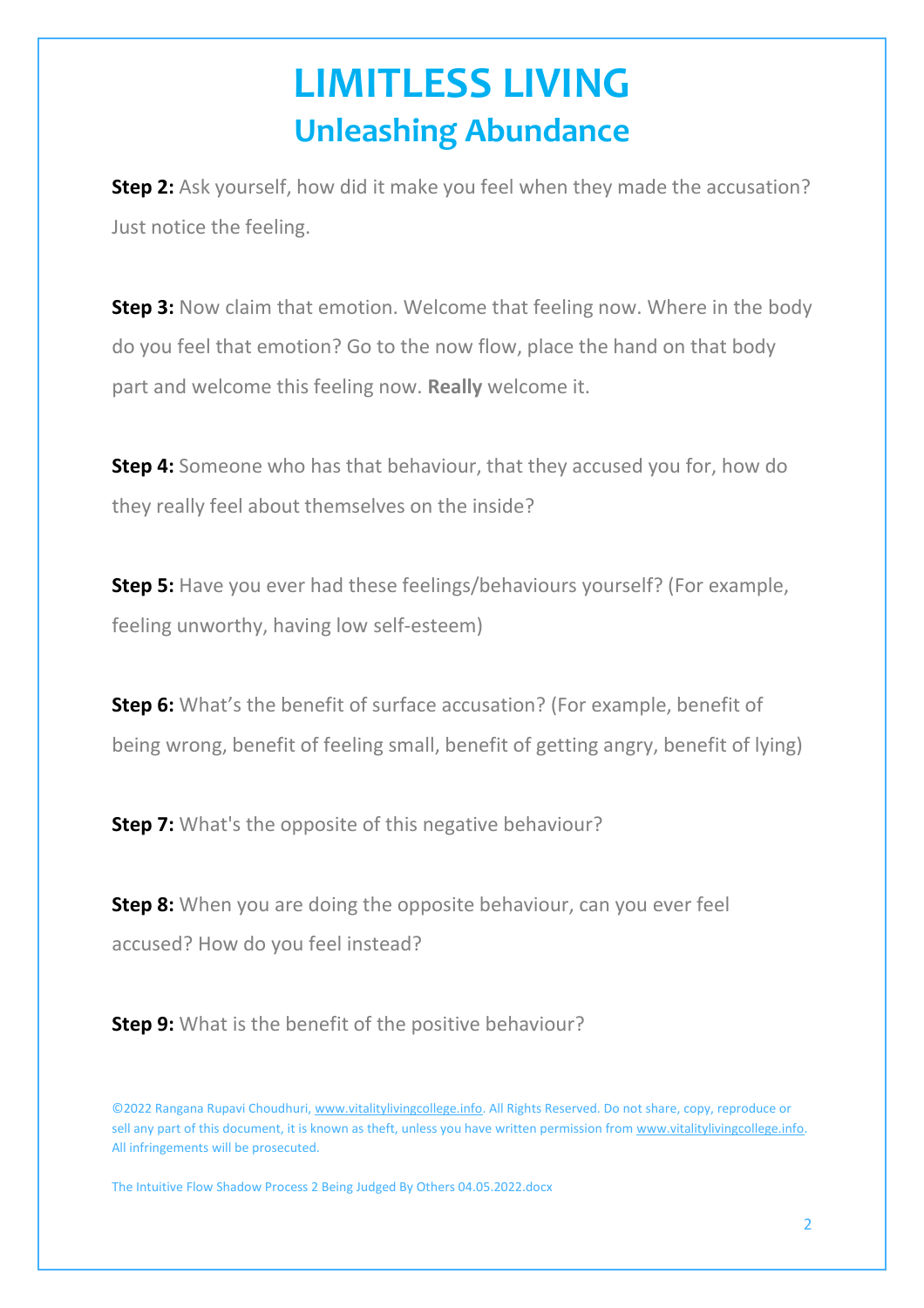## **LIMITLESS LIVING Unleashing Abundance**

**Step 2:** Ask yourself, how did it make you feel when they made the accusation? Just notice the feeling.

**Step 3:** Now claim that emotion. Welcome that feeling now. Where in the body do you feel that emotion? Go to the now flow, place the hand on that body part and welcome this feeling now. **Really** welcome it.

**Step 4:** Someone who has that behaviour, that they accused you for, how do they really feel about themselves on the inside?

**Step 5:** Have you ever had these feelings/behaviours yourself? (For example, feeling unworthy, having low self-esteem)

**Step 6:** What's the benefit of surface accusation? (For example, benefit of being wrong, benefit of feeling small, benefit of getting angry, benefit of lying)

**Step 7:** What's the opposite of this negative behaviour?

**Step 8:** When you are doing the opposite behaviour, can you ever feel accused? How do you feel instead?

**Step 9:** What is the benefit of the positive behaviour?

The Intuitive Flow Shadow Process 2 Being Judged By Others 04.05.2022.docx

<sup>©2022</sup> Rangana Rupavi Choudhuri, [www.vitalitylivingcollege.info.](about:blank) All Rights Reserved. Do not share, copy, reproduce or sell any part of this document, it is known as theft, unless you have written permission from [www.vitalitylivingcollege.info.](about:blank) All infringements will be prosecuted.